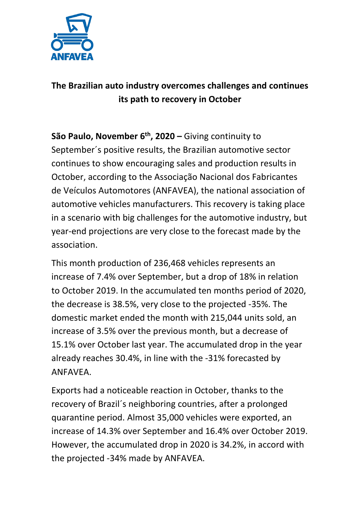

## **The Brazilian auto industry overcomes challenges and continues its path to recovery in October**

**São Paulo, November 6th, 2020 –** Giving continuity to September´s positive results, the Brazilian automotive sector continues to show encouraging sales and production results in October, according to the Associação Nacional dos Fabricantes de Veículos Automotores (ANFAVEA), the national association of automotive vehicles manufacturers. This recovery is taking place in a scenario with big challenges for the automotive industry, but year-end projections are very close to the forecast made by the association.

This month production of 236,468 vehicles represents an increase of 7.4% over September, but a drop of 18% in relation to October 2019. In the accumulated ten months period of 2020, the decrease is 38.5%, very close to the projected -35%. The domestic market ended the month with 215,044 units sold, an increase of 3.5% over the previous month, but a decrease of 15.1% over October last year. The accumulated drop in the year already reaches 30.4%, in line with the -31% forecasted by ANFAVEA.

Exports had a noticeable reaction in October, thanks to the recovery of Brazil´s neighboring countries, after a prolonged quarantine period. Almost 35,000 vehicles were exported, an increase of 14.3% over September and 16.4% over October 2019. However, the accumulated drop in 2020 is 34.2%, in accord with the projected -34% made by ANFAVEA.